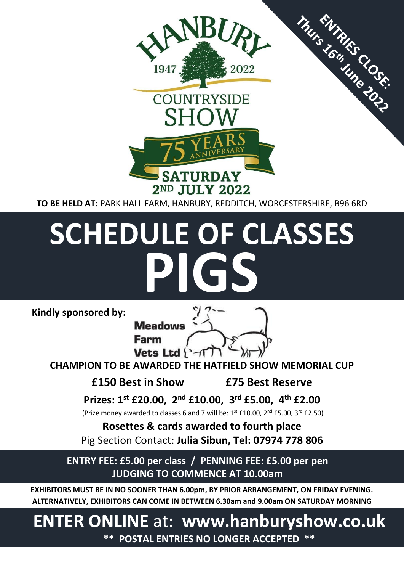

# **SCHEDULE OF CLASSES PIGS**

**Kindly sponsored by:** 



**CHAMPION TO BE AWARDED THE HATFIELD SHOW MEMORIAL CUP**

**£150 Best in Show £75 Best Reserve**

**Prizes: 1st £20.00, 2 nd £10.00, 3 rd £5.00, 4 th £2.00**

(Prize money awarded to classes 6 and 7 will be:  $1^{st}$  £10.00,  $2^{nd}$  £5.00,  $3^{rd}$  £2.50)

**Rosettes & cards awarded to fourth place** Pig Section Contact: **Julia Sibun, Tel: 07974 778 806**

**ENTRY FEE: £5.00 per class / PENNING FEE: £5.00 per pen JUDGING TO COMMENCE AT 10.00am**

**EXHIBITORS MUST BE IN NO SOONER THAN 6.00pm, BY PRIOR ARRANGEMENT, ON FRIDAY EVENING. ALTERNATIVELY, EXHIBITORS CAN COME IN BETWEEN 6.30am and 9.00am ON SATURDAY MORNING**

# **ENTER ONLINE** at: **www.hanburyshow.co.uk \*\* POSTAL ENTRIES NO LONGER ACCEPTED \*\***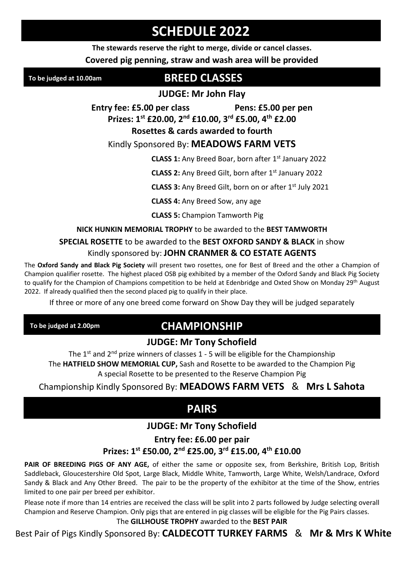# **SCHEDULE 2022**

**The stewards reserve the right to merge, divide or cancel classes.** 

**Covered pig penning, straw and wash area will be provided** 

**To be judged at 10.00am**

### **BREED CLASSES**

**JUDGE: Mr John Flay** 

**Entry fee: £5.00 per class Pens: £5.00 per pen Prizes: 1st £20.00, 2nd £10.00, 3rd £5.00, 4th £2.00**

**Rosettes & cards awarded to fourth**

#### Kindly Sponsored By: **MEADOWS FARM VETS**

**CLASS 1:** Any Breed Boar, born after 1<sup>st</sup> January 2022

**CLASS 2:** Any Breed Gilt, born after 1<sup>st</sup> January 2022

**CLASS 3:** Any Breed Gilt, born on or after 1st July 2021

**CLASS 4:** Any Breed Sow, any age

**CLASS 5:** Champion Tamworth Pig

#### **NICK HUNKIN MEMORIAL TROPHY** to be awarded to the **BEST TAMWORTH**

#### **SPECIAL ROSETTE** to be awarded to the **BEST OXFORD SANDY & BLACK** in show Kindly sponsored by: **JOHN CRANMER & CO ESTATE AGENTS**

The **Oxford Sandy and Black Pig Society** will present two rosettes, one for Best of Breed and the other a Champion of Champion qualifier rosette. The highest placed OSB pig exhibited by a member of the Oxford Sandy and Black Pig Society to qualify for the Champion of Champions competition to be held at Edenbridge and Oxted Show on Monday 29<sup>th</sup> August 2022. If already qualified then the second placed pig to qualify in their place.

If three or more of any one breed come forward on Show Day they will be judged separately

**To be judged at 2.00pm**

# **CHAMPIONSHIP**

#### **JUDGE: Mr Tony Schofield**

The  $1^{st}$  and  $2^{nd}$  prize winners of classes  $1 - 5$  will be eligible for the Championship The **HATFIELD SHOW MEMORIAL CUP,** Sash and Rosette to be awarded to the Champion Pig A special Rosette to be presented to the Reserve Champion Pig

Championship Kindly Sponsored By: **MEADOWS FARM VETS** & **Mrs L Sahota**

# **PAIRS**

#### **JUDGE: Mr Tony Schofield**

#### **Entry fee: £6.00 per pair Prizes: 1st £50.00, 2nd £25.00, 3rd £15.00, 4th £10.00**

**PAIR OF BREEDING PIGS OF ANY AGE,** of either the same or opposite sex, from Berkshire, British Lop, British Saddleback, Gloucestershire Old Spot, Large Black, Middle White, Tamworth, Large White, Welsh/Landrace, Oxford Sandy & Black and Any Other Breed. The pair to be the property of the exhibitor at the time of the Show, entries limited to one pair per breed per exhibitor.

Please note if more than 14 entries are received the class will be split into 2 parts followed by Judge selecting overall Champion and Reserve Champion. Only pigs that are entered in pig classes will be eligible for the Pig Pairs classes.

#### The **GILLHOUSE TROPHY** awarded to the **BEST PAIR**

Best Pair of Pigs Kindly Sponsored By: **CALDECOTT TURKEY FARMS** & **Mr & Mrs K White**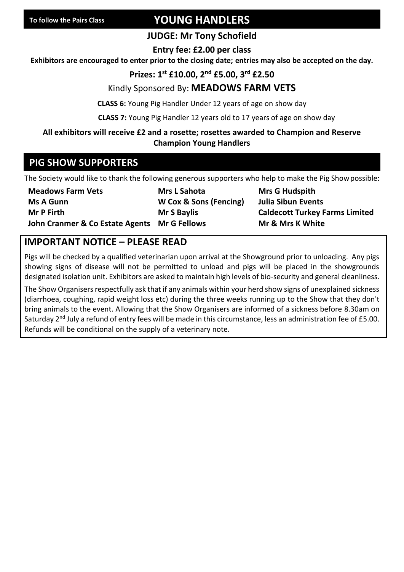## **YOUNG HANDLERS**

#### **JUDGE: Mr Tony Schofield**

**Entry fee: £2.00 per class** 

**Exhibitors are encouraged to enter prior to the closing date; entries may also be accepted on the day.**

#### **Prizes: 1st £10.00, 2nd £5.00, 3rd £2.50**

#### Kindly Sponsored By: **MEADOWS FARM VETS**

**CLASS 6:** Young Pig Handler Under 12 years of age on show day

**CLASS 7:** Young Pig Handler 12 years old to 17 years of age on show day

#### **All exhibitors will receive £2 and a rosette; rosettes awarded to Champion and Reserve Champion Young Handlers**

#### **PIG SHOW SUPPORTERS**

The Society would like to thank the following generous supporters who help to make the Pig Showpossible:

**Ms A Gunn W Cox & Sons (Fencing) Julia Sibun Events John Cranmer & Co Estate Agents Mr G Fellows Mr & Mrs K White**

**Meadows Farm Vets Mrs L Sahota Mrs G Hudspith**

**Mr P Firth Mr S Baylis Caldecott Turkey Farms Limited**

#### **IMPORTANT NOTICE – PLEASE READ**

Pigs will be checked by a qualified veterinarian upon arrival at the Showground prior to unloading. Any pigs showing signs of disease will not be permitted to unload and pigs will be placed in the showgrounds designated isolation unit. Exhibitors are asked to maintain high levels of bio-security and general cleanliness.

The Show Organisers respectfully ask that if any animals within your herd show signs of unexplained sickness (diarrhoea, coughing, rapid weight loss etc) during the three weeks running up to the Show that they don't bring animals to the event. Allowing that the Show Organisers are informed of a sickness before 8.30am on Saturday 2<sup>nd</sup> July a refund of entry fees will be made in this circumstance, less an administration fee of £5.00. Refunds will be conditional on the supply of a veterinary note.